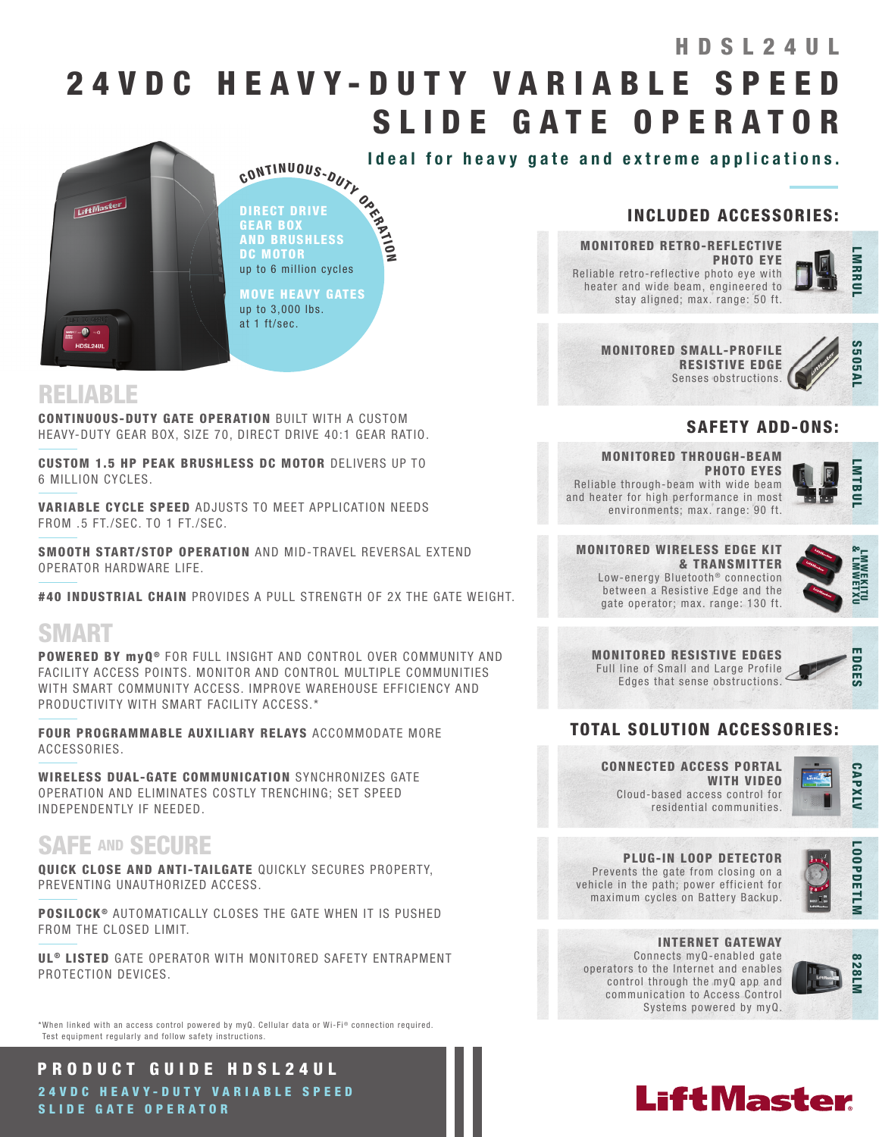# 2 4 V D C H E A V Y - D U T Y V A R I A B L E S P E E D SLIDE GATE OPERATOR HDSL24UL



Ideal for heavy gate and extreme applications.

CONTINUOUS-DUTY OR<br>DIRECT DRIVE<br>GEAR BOX<br>AND BRUSHLESS<br>DC MOTOR<br>DE MOTOR DIRECT DRIVE GEAR BOX AND BRUSHLESS DC MOTOR up to 6 million cycles

MOVE HEAVY GATES up to 3,000 lbs. at 1 ft/sec.

ETRAIN

# RELIABLE

CONTINUOUS-DUTY GATE OPERATION BUILT WITH A CUSTOM HEAVY-DUTY GEAR BOX, SIZE 70, DIRECT DRIVE 40:1 GEAR RATIO.

CUSTOM 1.5 HP PEAK BRUSHLESS DC MOTOR DELIVERS UP TO 6 MILLION CYCLES.

VARIABLE CYCLE SPEED ADJUSTS TO MEET APPLICATION NEEDS FROM .5 FT./SEC. TO 1 FT./SEC.

SMOOTH START/STOP OPERATION AND MID-TRAVEL REVERSAL EXTEND OPERATOR HARDWARE LIFE.

#40 INDUSTRIAL CHAIN PROVIDES A PULL STRENGTH OF 2X THE GATE WEIGHT.

# SMART

POWERED BY myQ ® FOR FULL INSIGHT AND CONTROL OVER COMMUNITY AND FACILITY ACCESS POINTS. MONITOR AND CONTROL MULTIPLE COMMUNITIES WITH SMART COMMUNITY ACCESS. IMPROVE WAREHOUSE EFFICIENCY AND PRODUCTIVITY WITH SMART FACILITY ACCESS.\*

FOUR PROGRAMMABLE AUXILIARY RELAYS ACCOMMODATE MORE ACCESSORIES.

WIRELESS DUAL-GATE COMMUNICATION SYNCHRONIZES GATE OPERATION AND ELIMINATES COSTLY TRENCHING; SET SPEED INDEPENDENTLY IF NEEDED.

# SAFE AND SECURE

QUICK CLOSE AND ANTI-TAILGATE QUICKLY SECURES PROPERTY, PREVENTING UNAUTHORIZED ACCESS.

**POSILOCK<sup>®</sup>** AUTOMATICALLY CLOSES THE GATE WHEN IT IS PUSHED FROM THE CLOSED LIMIT.

UL<sup>®</sup> LISTED GATE OPERATOR WITH MONITORED SAFETY ENTRAPMENT PROTECTION DEVICES.

\*When linked with an access control powered by myQ. Cellular data or Wi-Fi<sup>®</sup> connection required. Test equipment regularly and follow safety instructions.

PRODUCT GUIDE HDSL24UL 24 V D C H E A V Y - D U T Y V A R I A B L E S P E E D SLIDE GATE OPERATOR

## INCLUDED ACCESSORIES:

MONITORED RETRO-REFLECTIVE PHOTO EYE Reliable retro-reflective photo eye with heater and wide beam, engineered to stay aligned; max. range: 50 ft.



MONITORED SMALL-PROFILE RESISTIVE EDGE Senses obstructions.



### SAFETY ADD-ONS:

MONITORED THROUGH-BEAM PHOTO EYES Reliable through-beam with wide beam and heater for high performance in most environments; max. range: 90 ft.



#### MONITORED WIRELESS EDGE KIT & TRANSMITTER Low-energy Bluetooth<sup>®</sup> connection between a Resistive Edge and the gate operator; max. range: 130 ft.



|  |  |  | <b>MONITORED RESISTIVE EDGES</b>     |  |  |
|--|--|--|--------------------------------------|--|--|
|  |  |  | Full line of Small and Large Profile |  |  |
|  |  |  | Edges that sense obstructions        |  |  |



### TOTAL SOLUTION ACCESSORIES:

CONNECTED ACCESS PORTAL WITH VIDEO Cloud-based access control for residential communities.



LOOPDETLM

**LOOPDETLM** 

PLUG-IN LOOP DETECTOR Prevents the gate from closing on a

vehicle in the path; power efficient for maximum cycles on Battery Backup.



INTERNET GATEWAY Connects myQ-enabled gate operators to the Internet and enables control through the myQ app and communication to Access Control Systems powered by myQ.